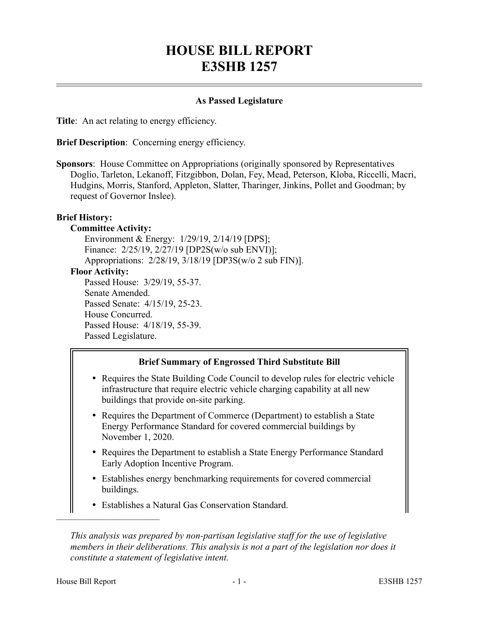# **HOUSE BILL REPORT E3SHB 1257**

## **As Passed Legislature**

**Title**: An act relating to energy efficiency.

**Brief Description:** Concerning energy efficiency.

**Sponsors**: House Committee on Appropriations (originally sponsored by Representatives Doglio, Tarleton, Lekanoff, Fitzgibbon, Dolan, Fey, Mead, Peterson, Kloba, Riccelli, Macri, Hudgins, Morris, Stanford, Appleton, Slatter, Tharinger, Jinkins, Pollet and Goodman; by request of Governor Inslee).

## **Brief History:**

#### **Committee Activity:**

Environment & Energy: 1/29/19, 2/14/19 [DPS]; Finance: 2/25/19, 2/27/19 [DP2S(w/o sub ENVI)]; Appropriations: 2/28/19, 3/18/19 [DP3S(w/o 2 sub FIN)]. **Floor Activity:** Passed House: 3/29/19, 55-37. Senate Amended. Passed Senate: 4/15/19, 25-23. House Concurred. Passed House: 4/18/19, 55-39. Passed Legislature.

#### **Brief Summary of Engrossed Third Substitute Bill**

- Requires the State Building Code Council to develop rules for electric vehicle infrastructure that require electric vehicle charging capability at all new buildings that provide on-site parking.
- Requires the Department of Commerce (Department) to establish a State Energy Performance Standard for covered commercial buildings by November 1, 2020.
- Requires the Department to establish a State Energy Performance Standard Early Adoption Incentive Program.
- Establishes energy benchmarking requirements for covered commercial buildings.
- Establishes a Natural Gas Conservation Standard.

*This analysis was prepared by non-partisan legislative staff for the use of legislative members in their deliberations. This analysis is not a part of the legislation nor does it constitute a statement of legislative intent.*

––––––––––––––––––––––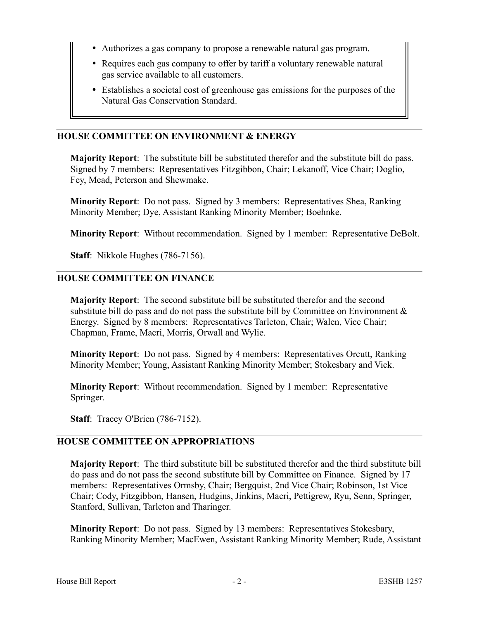- Authorizes a gas company to propose a renewable natural gas program.
- Requires each gas company to offer by tariff a voluntary renewable natural gas service available to all customers.
- Establishes a societal cost of greenhouse gas emissions for the purposes of the Natural Gas Conservation Standard.

#### **HOUSE COMMITTEE ON ENVIRONMENT & ENERGY**

**Majority Report**: The substitute bill be substituted therefor and the substitute bill do pass. Signed by 7 members: Representatives Fitzgibbon, Chair; Lekanoff, Vice Chair; Doglio, Fey, Mead, Peterson and Shewmake.

**Minority Report**: Do not pass. Signed by 3 members: Representatives Shea, Ranking Minority Member; Dye, Assistant Ranking Minority Member; Boehnke.

**Minority Report**: Without recommendation. Signed by 1 member: Representative DeBolt.

**Staff**: Nikkole Hughes (786-7156).

#### **HOUSE COMMITTEE ON FINANCE**

**Majority Report**: The second substitute bill be substituted therefor and the second substitute bill do pass and do not pass the substitute bill by Committee on Environment  $\&$ Energy. Signed by 8 members: Representatives Tarleton, Chair; Walen, Vice Chair; Chapman, Frame, Macri, Morris, Orwall and Wylie.

**Minority Report**: Do not pass. Signed by 4 members: Representatives Orcutt, Ranking Minority Member; Young, Assistant Ranking Minority Member; Stokesbary and Vick.

**Minority Report**: Without recommendation. Signed by 1 member: Representative Springer.

**Staff**: Tracey O'Brien (786-7152).

# **HOUSE COMMITTEE ON APPROPRIATIONS**

**Majority Report**: The third substitute bill be substituted therefor and the third substitute bill do pass and do not pass the second substitute bill by Committee on Finance. Signed by 17 members: Representatives Ormsby, Chair; Bergquist, 2nd Vice Chair; Robinson, 1st Vice Chair; Cody, Fitzgibbon, Hansen, Hudgins, Jinkins, Macri, Pettigrew, Ryu, Senn, Springer, Stanford, Sullivan, Tarleton and Tharinger.

**Minority Report**: Do not pass. Signed by 13 members: Representatives Stokesbary, Ranking Minority Member; MacEwen, Assistant Ranking Minority Member; Rude, Assistant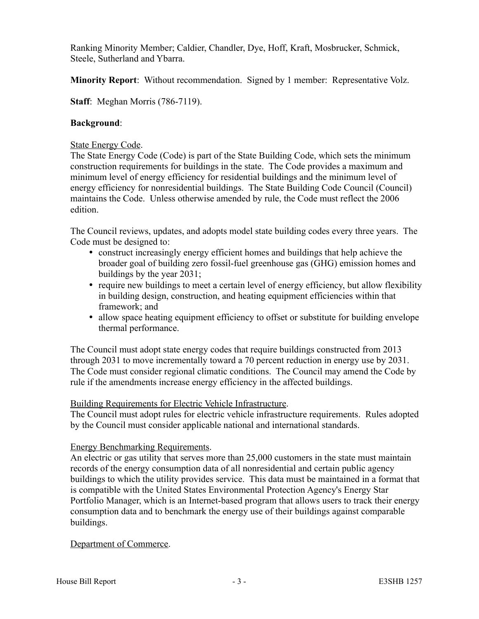Ranking Minority Member; Caldier, Chandler, Dye, Hoff, Kraft, Mosbrucker, Schmick, Steele, Sutherland and Ybarra.

**Minority Report**: Without recommendation. Signed by 1 member: Representative Volz.

**Staff**: Meghan Morris (786-7119).

# **Background**:

# State Energy Code.

The State Energy Code (Code) is part of the State Building Code, which sets the minimum construction requirements for buildings in the state. The Code provides a maximum and minimum level of energy efficiency for residential buildings and the minimum level of energy efficiency for nonresidential buildings. The State Building Code Council (Council) maintains the Code. Unless otherwise amended by rule, the Code must reflect the 2006 edition.

The Council reviews, updates, and adopts model state building codes every three years. The Code must be designed to:

- construct increasingly energy efficient homes and buildings that help achieve the broader goal of building zero fossil-fuel greenhouse gas (GHG) emission homes and buildings by the year 2031;
- require new buildings to meet a certain level of energy efficiency, but allow flexibility in building design, construction, and heating equipment efficiencies within that framework; and
- allow space heating equipment efficiency to offset or substitute for building envelope thermal performance.

The Council must adopt state energy codes that require buildings constructed from 2013 through 2031 to move incrementally toward a 70 percent reduction in energy use by 2031. The Code must consider regional climatic conditions. The Council may amend the Code by rule if the amendments increase energy efficiency in the affected buildings.

# Building Requirements for Electric Vehicle Infrastructure.

The Council must adopt rules for electric vehicle infrastructure requirements. Rules adopted by the Council must consider applicable national and international standards.

# Energy Benchmarking Requirements.

An electric or gas utility that serves more than 25,000 customers in the state must maintain records of the energy consumption data of all nonresidential and certain public agency buildings to which the utility provides service. This data must be maintained in a format that is compatible with the United States Environmental Protection Agency's Energy Star Portfolio Manager, which is an Internet-based program that allows users to track their energy consumption data and to benchmark the energy use of their buildings against comparable buildings.

# Department of Commerce.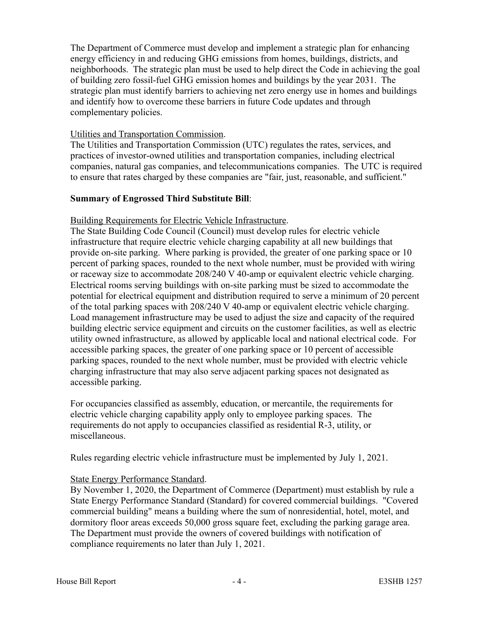The Department of Commerce must develop and implement a strategic plan for enhancing energy efficiency in and reducing GHG emissions from homes, buildings, districts, and neighborhoods. The strategic plan must be used to help direct the Code in achieving the goal of building zero fossil-fuel GHG emission homes and buildings by the year 2031. The strategic plan must identify barriers to achieving net zero energy use in homes and buildings and identify how to overcome these barriers in future Code updates and through complementary policies.

#### Utilities and Transportation Commission.

The Utilities and Transportation Commission (UTC) regulates the rates, services, and practices of investor-owned utilities and transportation companies, including electrical companies, natural gas companies, and telecommunications companies. The UTC is required to ensure that rates charged by these companies are "fair, just, reasonable, and sufficient."

#### **Summary of Engrossed Third Substitute Bill**:

## Building Requirements for Electric Vehicle Infrastructure.

The State Building Code Council (Council) must develop rules for electric vehicle infrastructure that require electric vehicle charging capability at all new buildings that provide on-site parking. Where parking is provided, the greater of one parking space or 10 percent of parking spaces, rounded to the next whole number, must be provided with wiring or raceway size to accommodate 208/240 V 40-amp or equivalent electric vehicle charging. Electrical rooms serving buildings with on-site parking must be sized to accommodate the potential for electrical equipment and distribution required to serve a minimum of 20 percent of the total parking spaces with 208/240 V 40-amp or equivalent electric vehicle charging. Load management infrastructure may be used to adjust the size and capacity of the required building electric service equipment and circuits on the customer facilities, as well as electric utility owned infrastructure, as allowed by applicable local and national electrical code. For accessible parking spaces, the greater of one parking space or 10 percent of accessible parking spaces, rounded to the next whole number, must be provided with electric vehicle charging infrastructure that may also serve adjacent parking spaces not designated as accessible parking.

For occupancies classified as assembly, education, or mercantile, the requirements for electric vehicle charging capability apply only to employee parking spaces. The requirements do not apply to occupancies classified as residential R-3, utility, or miscellaneous.

Rules regarding electric vehicle infrastructure must be implemented by July 1, 2021.

# State Energy Performance Standard.

By November 1, 2020, the Department of Commerce (Department) must establish by rule a State Energy Performance Standard (Standard) for covered commercial buildings. "Covered commercial building" means a building where the sum of nonresidential, hotel, motel, and dormitory floor areas exceeds 50,000 gross square feet, excluding the parking garage area. The Department must provide the owners of covered buildings with notification of compliance requirements no later than July 1, 2021.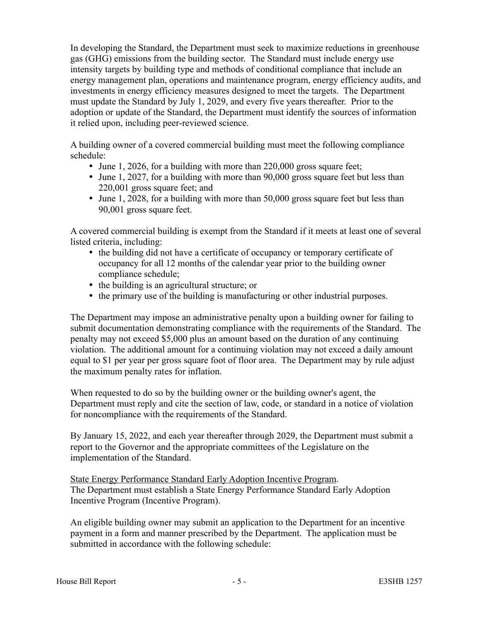In developing the Standard, the Department must seek to maximize reductions in greenhouse gas (GHG) emissions from the building sector. The Standard must include energy use intensity targets by building type and methods of conditional compliance that include an energy management plan, operations and maintenance program, energy efficiency audits, and investments in energy efficiency measures designed to meet the targets. The Department must update the Standard by July 1, 2029, and every five years thereafter. Prior to the adoption or update of the Standard, the Department must identify the sources of information it relied upon, including peer-reviewed science.

A building owner of a covered commercial building must meet the following compliance schedule:

- June 1, 2026, for a building with more than 220,000 gross square feet;
- June 1, 2027, for a building with more than 90,000 gross square feet but less than 220,001 gross square feet; and
- June 1, 2028, for a building with more than 50,000 gross square feet but less than 90,001 gross square feet.

A covered commercial building is exempt from the Standard if it meets at least one of several listed criteria, including:

- the building did not have a certificate of occupancy or temporary certificate of occupancy for all 12 months of the calendar year prior to the building owner compliance schedule;
- the building is an agricultural structure; or
- the primary use of the building is manufacturing or other industrial purposes.

The Department may impose an administrative penalty upon a building owner for failing to submit documentation demonstrating compliance with the requirements of the Standard. The penalty may not exceed \$5,000 plus an amount based on the duration of any continuing violation. The additional amount for a continuing violation may not exceed a daily amount equal to \$1 per year per gross square foot of floor area. The Department may by rule adjust the maximum penalty rates for inflation.

When requested to do so by the building owner or the building owner's agent, the Department must reply and cite the section of law, code, or standard in a notice of violation for noncompliance with the requirements of the Standard.

By January 15, 2022, and each year thereafter through 2029, the Department must submit a report to the Governor and the appropriate committees of the Legislature on the implementation of the Standard.

State Energy Performance Standard Early Adoption Incentive Program. The Department must establish a State Energy Performance Standard Early Adoption Incentive Program (Incentive Program).

An eligible building owner may submit an application to the Department for an incentive payment in a form and manner prescribed by the Department. The application must be submitted in accordance with the following schedule: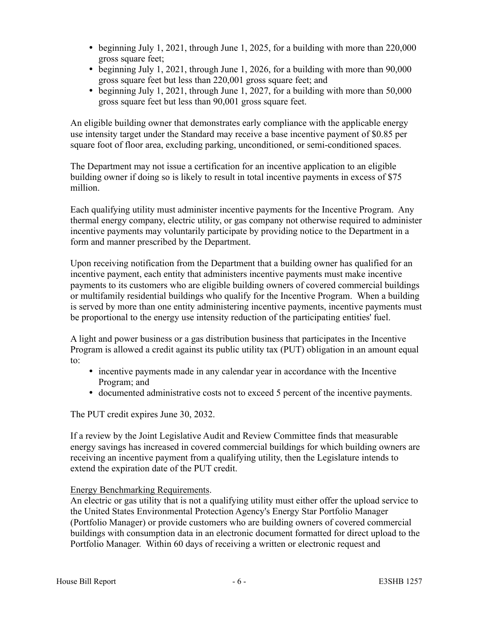- beginning July 1, 2021, through June 1, 2025, for a building with more than 220,000 gross square feet;
- beginning July 1, 2021, through June 1, 2026, for a building with more than 90,000 gross square feet but less than 220,001 gross square feet; and
- beginning July 1, 2021, through June 1, 2027, for a building with more than 50,000 gross square feet but less than 90,001 gross square feet.

An eligible building owner that demonstrates early compliance with the applicable energy use intensity target under the Standard may receive a base incentive payment of \$0.85 per square foot of floor area, excluding parking, unconditioned, or semi-conditioned spaces.

The Department may not issue a certification for an incentive application to an eligible building owner if doing so is likely to result in total incentive payments in excess of \$75 million.

Each qualifying utility must administer incentive payments for the Incentive Program. Any thermal energy company, electric utility, or gas company not otherwise required to administer incentive payments may voluntarily participate by providing notice to the Department in a form and manner prescribed by the Department.

Upon receiving notification from the Department that a building owner has qualified for an incentive payment, each entity that administers incentive payments must make incentive payments to its customers who are eligible building owners of covered commercial buildings or multifamily residential buildings who qualify for the Incentive Program. When a building is served by more than one entity administering incentive payments, incentive payments must be proportional to the energy use intensity reduction of the participating entities' fuel.

A light and power business or a gas distribution business that participates in the Incentive Program is allowed a credit against its public utility tax (PUT) obligation in an amount equal to:

- incentive payments made in any calendar year in accordance with the Incentive Program; and
- documented administrative costs not to exceed 5 percent of the incentive payments.

The PUT credit expires June 30, 2032.

If a review by the Joint Legislative Audit and Review Committee finds that measurable energy savings has increased in covered commercial buildings for which building owners are receiving an incentive payment from a qualifying utility, then the Legislature intends to extend the expiration date of the PUT credit.

# Energy Benchmarking Requirements.

An electric or gas utility that is not a qualifying utility must either offer the upload service to the United States Environmental Protection Agency's Energy Star Portfolio Manager (Portfolio Manager) or provide customers who are building owners of covered commercial buildings with consumption data in an electronic document formatted for direct upload to the Portfolio Manager. Within 60 days of receiving a written or electronic request and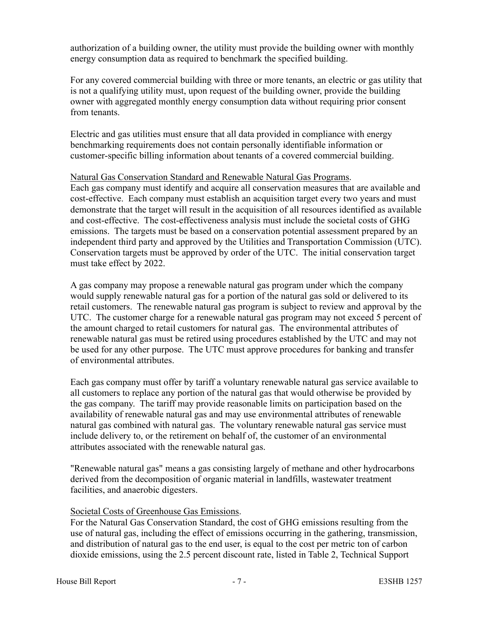authorization of a building owner, the utility must provide the building owner with monthly energy consumption data as required to benchmark the specified building.

For any covered commercial building with three or more tenants, an electric or gas utility that is not a qualifying utility must, upon request of the building owner, provide the building owner with aggregated monthly energy consumption data without requiring prior consent from tenants.

Electric and gas utilities must ensure that all data provided in compliance with energy benchmarking requirements does not contain personally identifiable information or customer-specific billing information about tenants of a covered commercial building.

## Natural Gas Conservation Standard and Renewable Natural Gas Programs.

Each gas company must identify and acquire all conservation measures that are available and cost-effective. Each company must establish an acquisition target every two years and must demonstrate that the target will result in the acquisition of all resources identified as available and cost-effective. The cost-effectiveness analysis must include the societal costs of GHG emissions. The targets must be based on a conservation potential assessment prepared by an independent third party and approved by the Utilities and Transportation Commission (UTC). Conservation targets must be approved by order of the UTC. The initial conservation target must take effect by 2022.

A gas company may propose a renewable natural gas program under which the company would supply renewable natural gas for a portion of the natural gas sold or delivered to its retail customers. The renewable natural gas program is subject to review and approval by the UTC. The customer charge for a renewable natural gas program may not exceed 5 percent of the amount charged to retail customers for natural gas. The environmental attributes of renewable natural gas must be retired using procedures established by the UTC and may not be used for any other purpose. The UTC must approve procedures for banking and transfer of environmental attributes.

Each gas company must offer by tariff a voluntary renewable natural gas service available to all customers to replace any portion of the natural gas that would otherwise be provided by the gas company. The tariff may provide reasonable limits on participation based on the availability of renewable natural gas and may use environmental attributes of renewable natural gas combined with natural gas. The voluntary renewable natural gas service must include delivery to, or the retirement on behalf of, the customer of an environmental attributes associated with the renewable natural gas.

"Renewable natural gas" means a gas consisting largely of methane and other hydrocarbons derived from the decomposition of organic material in landfills, wastewater treatment facilities, and anaerobic digesters.

# Societal Costs of Greenhouse Gas Emissions.

For the Natural Gas Conservation Standard, the cost of GHG emissions resulting from the use of natural gas, including the effect of emissions occurring in the gathering, transmission, and distribution of natural gas to the end user, is equal to the cost per metric ton of carbon dioxide emissions, using the 2.5 percent discount rate, listed in Table 2, Technical Support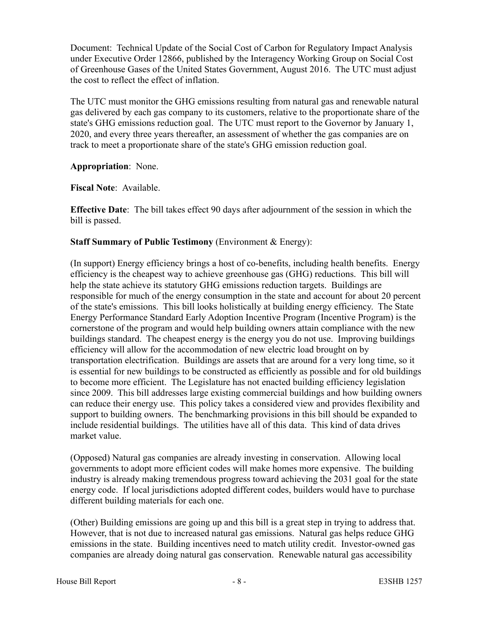Document: Technical Update of the Social Cost of Carbon for Regulatory Impact Analysis under Executive Order 12866, published by the Interagency Working Group on Social Cost of Greenhouse Gases of the United States Government, August 2016. The UTC must adjust the cost to reflect the effect of inflation.

The UTC must monitor the GHG emissions resulting from natural gas and renewable natural gas delivered by each gas company to its customers, relative to the proportionate share of the state's GHG emissions reduction goal. The UTC must report to the Governor by January 1, 2020, and every three years thereafter, an assessment of whether the gas companies are on track to meet a proportionate share of the state's GHG emission reduction goal.

**Appropriation**: None.

**Fiscal Note**: Available.

**Effective Date**: The bill takes effect 90 days after adjournment of the session in which the bill is passed.

# **Staff Summary of Public Testimony** (Environment & Energy):

(In support) Energy efficiency brings a host of co-benefits, including health benefits. Energy efficiency is the cheapest way to achieve greenhouse gas (GHG) reductions. This bill will help the state achieve its statutory GHG emissions reduction targets. Buildings are responsible for much of the energy consumption in the state and account for about 20 percent of the state's emissions. This bill looks holistically at building energy efficiency. The State Energy Performance Standard Early Adoption Incentive Program (Incentive Program) is the cornerstone of the program and would help building owners attain compliance with the new buildings standard. The cheapest energy is the energy you do not use. Improving buildings efficiency will allow for the accommodation of new electric load brought on by transportation electrification. Buildings are assets that are around for a very long time, so it is essential for new buildings to be constructed as efficiently as possible and for old buildings to become more efficient. The Legislature has not enacted building efficiency legislation since 2009. This bill addresses large existing commercial buildings and how building owners can reduce their energy use. This policy takes a considered view and provides flexibility and support to building owners. The benchmarking provisions in this bill should be expanded to include residential buildings. The utilities have all of this data. This kind of data drives market value.

(Opposed) Natural gas companies are already investing in conservation. Allowing local governments to adopt more efficient codes will make homes more expensive. The building industry is already making tremendous progress toward achieving the 2031 goal for the state energy code. If local jurisdictions adopted different codes, builders would have to purchase different building materials for each one.

(Other) Building emissions are going up and this bill is a great step in trying to address that. However, that is not due to increased natural gas emissions. Natural gas helps reduce GHG emissions in the state. Building incentives need to match utility credit. Investor-owned gas companies are already doing natural gas conservation. Renewable natural gas accessibility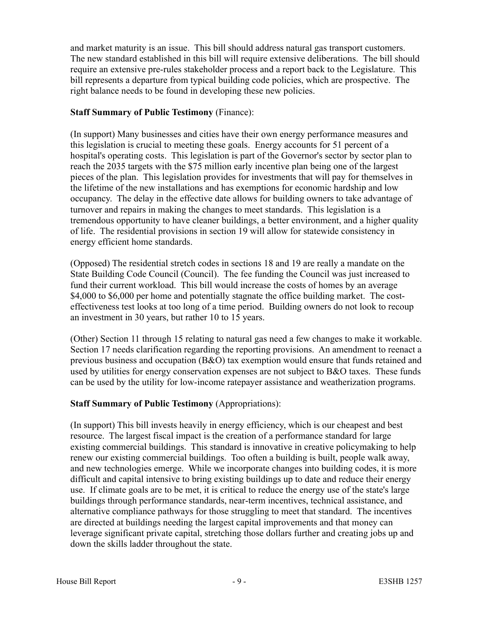and market maturity is an issue. This bill should address natural gas transport customers. The new standard established in this bill will require extensive deliberations. The bill should require an extensive pre-rules stakeholder process and a report back to the Legislature. This bill represents a departure from typical building code policies, which are prospective. The right balance needs to be found in developing these new policies.

# **Staff Summary of Public Testimony** (Finance):

(In support) Many businesses and cities have their own energy performance measures and this legislation is crucial to meeting these goals. Energy accounts for 51 percent of a hospital's operating costs. This legislation is part of the Governor's sector by sector plan to reach the 2035 targets with the \$75 million early incentive plan being one of the largest pieces of the plan. This legislation provides for investments that will pay for themselves in the lifetime of the new installations and has exemptions for economic hardship and low occupancy. The delay in the effective date allows for building owners to take advantage of turnover and repairs in making the changes to meet standards. This legislation is a tremendous opportunity to have cleaner buildings, a better environment, and a higher quality of life. The residential provisions in section 19 will allow for statewide consistency in energy efficient home standards.

(Opposed) The residential stretch codes in sections 18 and 19 are really a mandate on the State Building Code Council (Council). The fee funding the Council was just increased to fund their current workload. This bill would increase the costs of homes by an average \$4,000 to \$6,000 per home and potentially stagnate the office building market. The costeffectiveness test looks at too long of a time period. Building owners do not look to recoup an investment in 30 years, but rather 10 to 15 years.

(Other) Section 11 through 15 relating to natural gas need a few changes to make it workable. Section 17 needs clarification regarding the reporting provisions. An amendment to reenact a previous business and occupation (B&O) tax exemption would ensure that funds retained and used by utilities for energy conservation expenses are not subject to B&O taxes. These funds can be used by the utility for low-income ratepayer assistance and weatherization programs.

# **Staff Summary of Public Testimony** (Appropriations):

(In support) This bill invests heavily in energy efficiency, which is our cheapest and best resource. The largest fiscal impact is the creation of a performance standard for large existing commercial buildings. This standard is innovative in creative policymaking to help renew our existing commercial buildings. Too often a building is built, people walk away, and new technologies emerge. While we incorporate changes into building codes, it is more difficult and capital intensive to bring existing buildings up to date and reduce their energy use. If climate goals are to be met, it is critical to reduce the energy use of the state's large buildings through performance standards, near-term incentives, technical assistance, and alternative compliance pathways for those struggling to meet that standard. The incentives are directed at buildings needing the largest capital improvements and that money can leverage significant private capital, stretching those dollars further and creating jobs up and down the skills ladder throughout the state.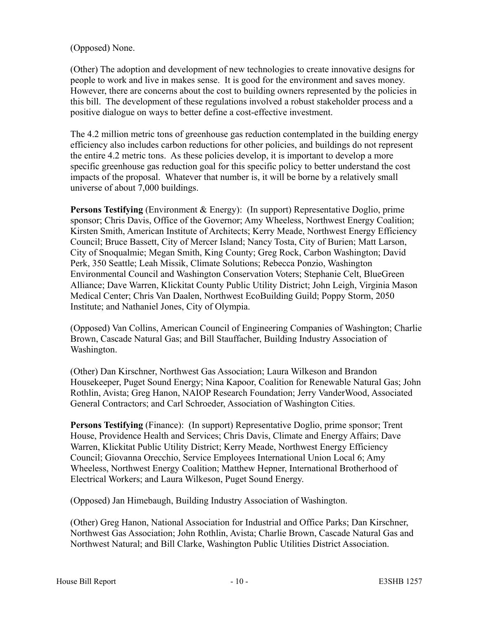## (Opposed) None.

(Other) The adoption and development of new technologies to create innovative designs for people to work and live in makes sense. It is good for the environment and saves money. However, there are concerns about the cost to building owners represented by the policies in this bill. The development of these regulations involved a robust stakeholder process and a positive dialogue on ways to better define a cost-effective investment.

The 4.2 million metric tons of greenhouse gas reduction contemplated in the building energy efficiency also includes carbon reductions for other policies, and buildings do not represent the entire 4.2 metric tons. As these policies develop, it is important to develop a more specific greenhouse gas reduction goal for this specific policy to better understand the cost impacts of the proposal. Whatever that number is, it will be borne by a relatively small universe of about 7,000 buildings.

**Persons Testifying** (Environment & Energy): (In support) Representative Doglio, prime sponsor; Chris Davis, Office of the Governor; Amy Wheeless, Northwest Energy Coalition; Kirsten Smith, American Institute of Architects; Kerry Meade, Northwest Energy Efficiency Council; Bruce Bassett, City of Mercer Island; Nancy Tosta, City of Burien; Matt Larson, City of Snoqualmie; Megan Smith, King County; Greg Rock, Carbon Washington; David Perk, 350 Seattle; Leah Missik, Climate Solutions; Rebecca Ponzio, Washington Environmental Council and Washington Conservation Voters; Stephanie Celt, BlueGreen Alliance; Dave Warren, Klickitat County Public Utility District; John Leigh, Virginia Mason Medical Center; Chris Van Daalen, Northwest EcoBuilding Guild; Poppy Storm, 2050 Institute; and Nathaniel Jones, City of Olympia.

(Opposed) Van Collins, American Council of Engineering Companies of Washington; Charlie Brown, Cascade Natural Gas; and Bill Stauffacher, Building Industry Association of Washington.

(Other) Dan Kirschner, Northwest Gas Association; Laura Wilkeson and Brandon Housekeeper, Puget Sound Energy; Nina Kapoor, Coalition for Renewable Natural Gas; John Rothlin, Avista; Greg Hanon, NAIOP Research Foundation; Jerry VanderWood, Associated General Contractors; and Carl Schroeder, Association of Washington Cities.

**Persons Testifying** (Finance): (In support) Representative Doglio, prime sponsor; Trent House, Providence Health and Services; Chris Davis, Climate and Energy Affairs; Dave Warren, Klickitat Public Utility District; Kerry Meade, Northwest Energy Efficiency Council; Giovanna Orecchio, Service Employees International Union Local 6; Amy Wheeless, Northwest Energy Coalition; Matthew Hepner, International Brotherhood of Electrical Workers; and Laura Wilkeson, Puget Sound Energy.

(Opposed) Jan Himebaugh, Building Industry Association of Washington.

(Other) Greg Hanon, National Association for Industrial and Office Parks; Dan Kirschner, Northwest Gas Association; John Rothlin, Avista; Charlie Brown, Cascade Natural Gas and Northwest Natural; and Bill Clarke, Washington Public Utilities District Association.